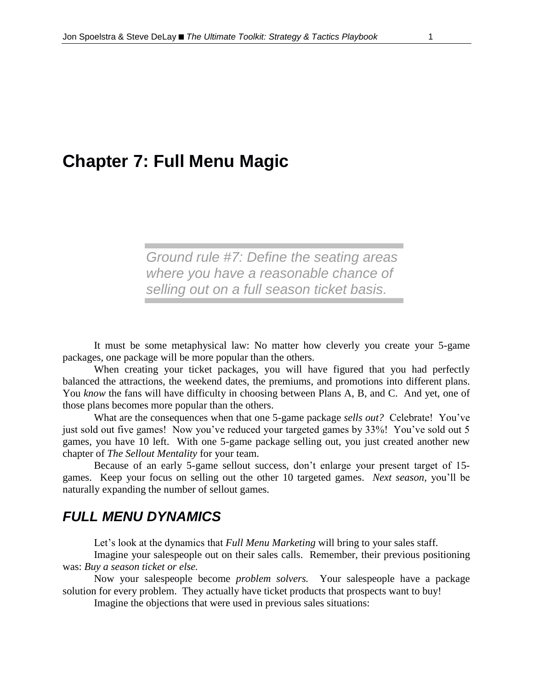# **Chapter 7: Full Menu Magic**

*Ground rule #7: Define the seating areas where you have a reasonable chance of selling out on a full season ticket basis.*

It must be some metaphysical law: No matter how cleverly you create your 5-game packages, one package will be more popular than the others.

When creating your ticket packages, you will have figured that you had perfectly balanced the attractions, the weekend dates, the premiums, and promotions into different plans. You *know* the fans will have difficulty in choosing between Plans A, B, and C. And yet, one of those plans becomes more popular than the others.

What are the consequences when that one 5-game package *sells out?* Celebrate! You've just sold out five games! Now you've reduced your targeted games by 33%! You've sold out 5 games, you have 10 left. With one 5-game package selling out, you just created another new chapter of *The Sellout Mentality* for your team.

Because of an early 5-game sellout success, don't enlarge your present target of 15 games. Keep your focus on selling out the other 10 targeted games. *Next season,* you'll be naturally expanding the number of sellout games.

## *FULL MENU DYNAMICS*

Let's look at the dynamics that *Full Menu Marketing* will bring to your sales staff.

Imagine your salespeople out on their sales calls. Remember, their previous positioning was: *Buy a season ticket or else.*

Now your salespeople become *problem solvers.* Your salespeople have a package solution for every problem. They actually have ticket products that prospects want to buy!

Imagine the objections that were used in previous sales situations: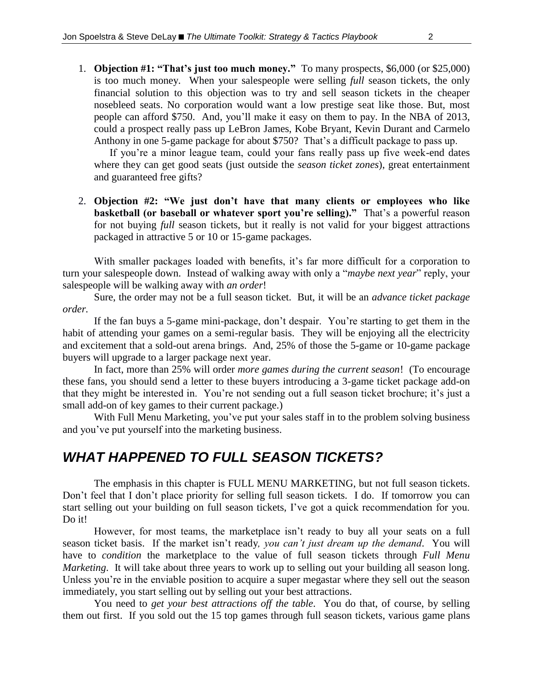1. **Objection #1: "That's just too much money."** To many prospects, \$6,000 (or \$25,000) is too much money. When your salespeople were selling *full* season tickets, the only financial solution to this objection was to try and sell season tickets in the cheaper nosebleed seats. No corporation would want a low prestige seat like those. But, most people can afford \$750. And, you'll make it easy on them to pay. In the NBA of 2013, could a prospect really pass up LeBron James, Kobe Bryant, Kevin Durant and Carmelo Anthony in one 5-game package for about \$750? That's a difficult package to pass up.

If you're a minor league team, could your fans really pass up five week-end dates where they can get good seats (just outside the *season ticket zones*), great entertainment and guaranteed free gifts?

2. **Objection #2: "We just don't have that many clients or employees who like basketball (or baseball or whatever sport you're selling)."** That's a powerful reason for not buying *full* season tickets, but it really is not valid for your biggest attractions packaged in attractive 5 or 10 or 15-game packages.

With smaller packages loaded with benefits, it's far more difficult for a corporation to turn your salespeople down. Instead of walking away with only a "*maybe next year*" reply, your salespeople will be walking away with *an order*!

Sure, the order may not be a full season ticket. But, it will be an *advance ticket package order.*

If the fan buys a 5-game mini-package, don't despair. You're starting to get them in the habit of attending your games on a semi-regular basis. They will be enjoying all the electricity and excitement that a sold-out arena brings. And, 25% of those the 5-game or 10-game package buyers will upgrade to a larger package next year.

In fact, more than 25% will order *more games during the current season*! (To encourage these fans, you should send a letter to these buyers introducing a 3-game ticket package add-on that they might be interested in. You're not sending out a full season ticket brochure; it's just a small add-on of key games to their current package.)

With Full Menu Marketing, you've put your sales staff in to the problem solving business and you've put yourself into the marketing business.

## *WHAT HAPPENED TO FULL SEASON TICKETS?*

The emphasis in this chapter is FULL MENU MARKETING, but not full season tickets. Don't feel that I don't place priority for selling full season tickets. I do. If tomorrow you can start selling out your building on full season tickets, I've got a quick recommendation for you. Do it!

However, for most teams, the marketplace isn't ready to buy all your seats on a full season ticket basis. If the market isn't ready*, you can't just dream up the demand*. You will have to *condition* the marketplace to the value of full season tickets through *Full Menu Marketing*. It will take about three years to work up to selling out your building all season long. Unless you're in the enviable position to acquire a super megastar where they sell out the season immediately, you start selling out by selling out your best attractions.

You need to *get your best attractions off the table*. You do that, of course, by selling them out first. If you sold out the 15 top games through full season tickets, various game plans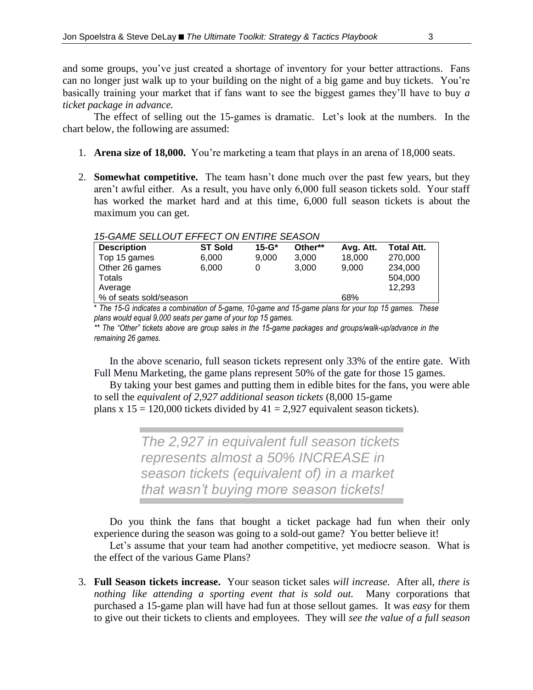and some groups, you've just created a shortage of inventory for your better attractions. Fans can no longer just walk up to your building on the night of a big game and buy tickets. You're basically training your market that if fans want to see the biggest games they'll have to buy *a ticket package in advance.*

The effect of selling out the 15-games is dramatic. Let's look at the numbers. In the chart below, the following are assumed:

- 1. **Arena size of 18,000.** You're marketing a team that plays in an arena of 18,000 seats.
- 2. **Somewhat competitive.** The team hasn't done much over the past few years, but they aren't awful either. As a result, you have only 6,000 full season tickets sold. Your staff has worked the market hard and at this time, 6,000 full season tickets is about the maximum you can get.

#### *15-GAME SELLOUT EFFECT ON ENTIRE SEASON*

| <b>Description</b>     | <b>ST Sold</b> | $15 - G*$ | Other** | Avg. Att. | <b>Total Att.</b> |  |
|------------------------|----------------|-----------|---------|-----------|-------------------|--|
| Top 15 games           | 6.000          | 9.000     | 3.000   | 18,000    | 270,000           |  |
| Other 26 games         | 6.000          |           | 3.000   | 9.000     | 234.000           |  |
| Totals                 |                |           |         |           | 504.000           |  |
| Average                |                |           |         |           | 12.293            |  |
| % of seats sold/season |                |           |         | 68%       |                   |  |
|                        |                |           |         |           |                   |  |

\* *The 15-G indicates a combination of 5-game, 10-game and 15-game plans for your top 15 games. These plans would equal 9,000 seats per game of your top 15 games.*

*\*\* The "Other" tickets above are group sales in the 15-game packages and groups/walk-up/advance in the remaining 26 games.*

In the above scenario, full season tickets represent only 33% of the entire gate. With Full Menu Marketing, the game plans represent 50% of the gate for those 15 games.

By taking your best games and putting them in edible bites for the fans, you were able to sell the *equivalent of 2,927 additional season tickets* (8,000 15-game plans x  $15 = 120,000$  tickets divided by  $41 = 2,927$  equivalent season tickets).

> *The 2,927 in equivalent full season tickets represents almost a 50% INCREASE in season tickets (equivalent of) in a market that wasn't buying more season tickets!*

Do you think the fans that bought a ticket package had fun when their only experience during the season was going to a sold-out game? You better believe it!

Let's assume that your team had another competitive, yet mediocre season. What is the effect of the various Game Plans?

3. **Full Season tickets increase.** Your season ticket sales *will increase.* After all, *there is nothing like attending a sporting event that is sold out.* Many corporations that purchased a 15-game plan will have had fun at those sellout games. It was *easy* for them to give out their tickets to clients and employees. They will *see the value of a full season*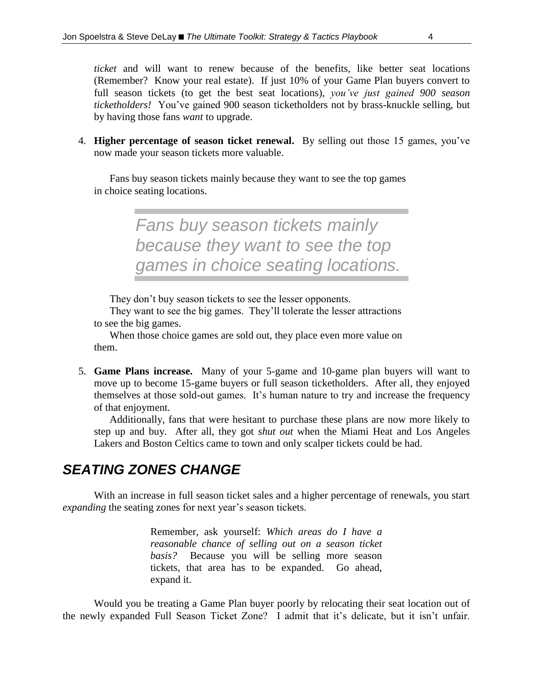*ticket* and will want to renew because of the benefits, like better seat locations (Remember? Know your real estate). If just 10% of your Game Plan buyers convert to full season tickets (to get the best seat locations), *you've just gained 900 season ticketholders!* You've gained 900 season ticketholders not by brass-knuckle selling, but by having those fans *want* to upgrade.

4. **Higher percentage of season ticket renewal.** By selling out those 15 games, you've now made your season tickets more valuable.

Fans buy season tickets mainly because they want to see the top games in choice seating locations.

> *Fans buy season tickets mainly because they want to see the top games in choice seating locations.*

They don't buy season tickets to see the lesser opponents.

They want to see the big games. They'll tolerate the lesser attractions to see the big games.

When those choice games are sold out, they place even more value on them.

5. **Game Plans increase.** Many of your 5-game and 10-game plan buyers will want to move up to become 15-game buyers or full season ticketholders. After all, they enjoyed themselves at those sold-out games. It's human nature to try and increase the frequency of that enjoyment.

Additionally, fans that were hesitant to purchase these plans are now more likely to step up and buy. After all, they got *shut out* when the Miami Heat and Los Angeles Lakers and Boston Celtics came to town and only scalper tickets could be had.

## *SEATING ZONES CHANGE*

With an increase in full season ticket sales and a higher percentage of renewals, you start *expanding* the seating zones for next year's season tickets.

> Remember, ask yourself: *Which areas do I have a reasonable chance of selling out on a season ticket basis?* Because you will be selling more season tickets, that area has to be expanded. Go ahead, expand it.

Would you be treating a Game Plan buyer poorly by relocating their seat location out of the newly expanded Full Season Ticket Zone? I admit that it's delicate, but it isn't unfair.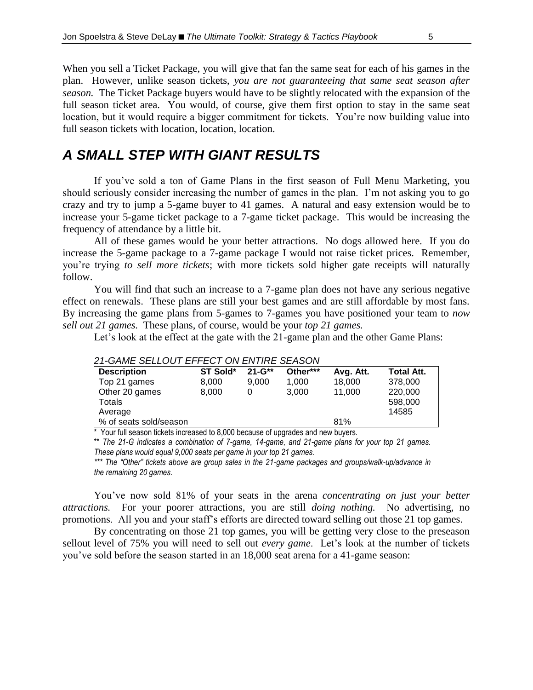When you sell a Ticket Package, you will give that fan the same seat for each of his games in the plan. However, unlike season tickets, *you are not guaranteeing that same seat season after season.* The Ticket Package buyers would have to be slightly relocated with the expansion of the full season ticket area. You would, of course, give them first option to stay in the same seat location, but it would require a bigger commitment for tickets. You're now building value into full season tickets with location, location, location.

#### *A SMALL STEP WITH GIANT RESULTS*

If you've sold a ton of Game Plans in the first season of Full Menu Marketing, you should seriously consider increasing the number of games in the plan. I'm not asking you to go crazy and try to jump a 5-game buyer to 41 games. A natural and easy extension would be to increase your 5-game ticket package to a 7-game ticket package. This would be increasing the frequency of attendance by a little bit.

All of these games would be your better attractions. No dogs allowed here. If you do increase the 5-game package to a 7-game package I would not raise ticket prices. Remember, you're trying *to sell more tickets*; with more tickets sold higher gate receipts will naturally follow.

You will find that such an increase to a 7-game plan does not have any serious negative effect on renewals. These plans are still your best games and are still affordable by most fans. By increasing the game plans from 5-games to 7-games you have positioned your team to *now sell out 21 games.* These plans, of course, would be your *top 21 games.*

Let's look at the effect at the gate with the 21-game plan and the other Game Plans:

| <b>Description</b>     | ST Sold* | $21 - G^{**}$ | Other*** | Avg. Att. | <b>Total Att.</b> |
|------------------------|----------|---------------|----------|-----------|-------------------|
| Top 21 games           | 8.000    | 9.000         | 1.000    | 18,000    | 378,000           |
| Other 20 games         | 8.000    | O             | 3.000    | 11.000    | 220,000           |
| Totals                 |          |               |          |           | 598,000           |
| Average                |          |               |          |           | 14585             |
| % of seats sold/season |          |               |          | 81%       |                   |

#### *21-GAME SELLOUT EFFECT ON ENTIRE SEASON*

 $*$  Your full season tickets increased to 8,000 because of upgrades and new buyers.

\*\* *The 21-G indicates a combination of 7-game, 14-game, and 21-game plans for your top 21 games. These plans would equal 9,000 seats per game in your top 21 games.*

*\*\*\* The "Other" tickets above are group sales in the 21-game packages and groups/walk-up/advance in the remaining 20 games.*

You've now sold 81% of your seats in the arena *concentrating on just your better attractions.* For your poorer attractions, you are still *doing nothing.* No advertising, no promotions. All you and your staff's efforts are directed toward selling out those 21 top games.

By concentrating on those 21 top games, you will be getting very close to the preseason sellout level of 75% you will need to sell out *every game*. Let's look at the number of tickets you've sold before the season started in an 18,000 seat arena for a 41-game season: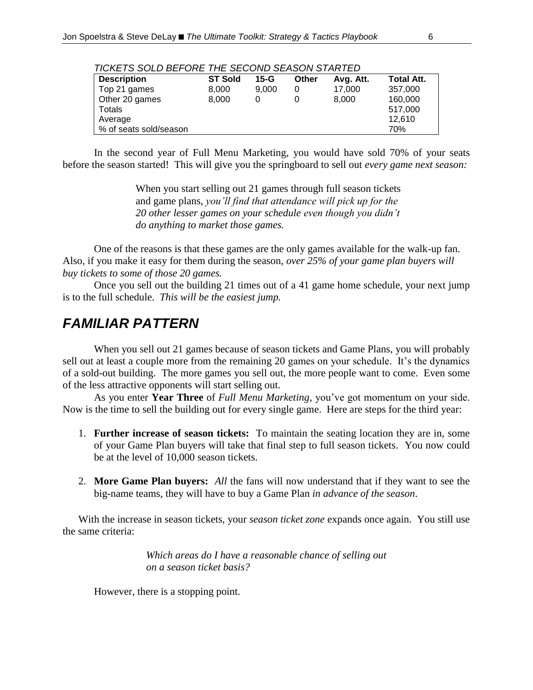| TIONETO OULD DET UNE THE ULUUND ULAUUN UTANTED |                |        |              |           |                   |  |
|------------------------------------------------|----------------|--------|--------------|-----------|-------------------|--|
| <b>Description</b>                             | <b>ST Sold</b> | $15-G$ | <b>Other</b> | Avg. Att. | <b>Total Att.</b> |  |
| Top 21 games                                   | 8.000          | 9.000  | 0            | 17.000    | 357,000           |  |
| Other 20 games                                 | 8.000          |        |              | 8.000     | 160,000           |  |
| Totals                                         |                |        |              |           | 517.000           |  |
| Average                                        |                |        |              |           | 12.610            |  |
| % of seats sold/season                         |                |        |              |           | 70%               |  |

#### *TICKETS SOLD BEFORE THE SECOND SEASON STARTED*

In the second year of Full Menu Marketing, you would have sold 70% of your seats before the season started! This will give you the springboard to sell out *every game next season:*

> When you start selling out 21 games through full season tickets and game plans, *you'll find that attendance will pick up for the 20 other lesser games on your schedule even though you didn't do anything to market those games.*

One of the reasons is that these games are the only games available for the walk-up fan. Also, if you make it easy for them during the season, *over 25% of your game plan buyers will buy tickets to some of those 20 games.*

Once you sell out the building 21 times out of a 41 game home schedule, your next jump is to the full schedule. *This will be the easiest jump.*

## *FAMILIAR PATTERN*

When you sell out 21 games because of season tickets and Game Plans, you will probably sell out at least a couple more from the remaining 20 games on your schedule. It's the dynamics of a sold-out building. The more games you sell out, the more people want to come. Even some of the less attractive opponents will start selling out.

As you enter **Year Three** of *Full Menu Marketing,* you've got momentum on your side. Now is the time to sell the building out for every single game. Here are steps for the third year:

- 1. **Further increase of season tickets:** To maintain the seating location they are in, some of your Game Plan buyers will take that final step to full season tickets. You now could be at the level of 10,000 season tickets.
- 2. **More Game Plan buyers:** *All* the fans will now understand that if they want to see the big-name teams, they will have to buy a Game Plan *in advance of the season*.

With the increase in season tickets, your *season ticket zone* expands once again. You still use the same criteria:

> *Which areas do I have a reasonable chance of selling out on a season ticket basis?*

However, there is a stopping point.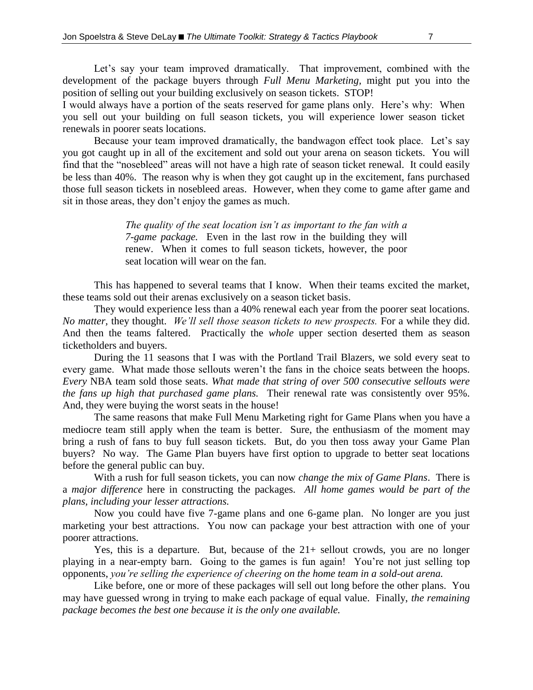Let's say your team improved dramatically. That improvement, combined with the development of the package buyers through *Full Menu Marketing,* might put you into the position of selling out your building exclusively on season tickets. STOP!

I would always have a portion of the seats reserved for game plans only. Here's why: When you sell out your building on full season tickets, you will experience lower season ticket renewals in poorer seats locations.

Because your team improved dramatically, the bandwagon effect took place. Let's say you got caught up in all of the excitement and sold out your arena on season tickets. You will find that the "nosebleed" areas will not have a high rate of season ticket renewal. It could easily be less than 40%. The reason why is when they got caught up in the excitement, fans purchased those full season tickets in nosebleed areas. However, when they come to game after game and sit in those areas, they don't enjoy the games as much.

> *The quality of the seat location isn't as important to the fan with a 7-game package.* Even in the last row in the building they will renew. When it comes to full season tickets, however, the poor seat location will wear on the fan.

This has happened to several teams that I know. When their teams excited the market, these teams sold out their arenas exclusively on a season ticket basis.

They would experience less than a 40% renewal each year from the poorer seat locations. *No matter,* they thought. *We'll sell those season tickets to new prospects.* For a while they did. And then the teams faltered. Practically the *whole* upper section deserted them as season ticketholders and buyers.

During the 11 seasons that I was with the Portland Trail Blazers, we sold every seat to every game. What made those sellouts weren't the fans in the choice seats between the hoops. *Every* NBA team sold those seats. *What made that string of over 500 consecutive sellouts were the fans up high that purchased game plans.* Their renewal rate was consistently over 95%. And, they were buying the worst seats in the house!

The same reasons that make Full Menu Marketing right for Game Plans when you have a mediocre team still apply when the team is better. Sure, the enthusiasm of the moment may bring a rush of fans to buy full season tickets. But, do you then toss away your Game Plan buyers? No way. The Game Plan buyers have first option to upgrade to better seat locations before the general public can buy.

With a rush for full season tickets, you can now *change the mix of Game Plans*. There is a *major difference* here in constructing the packages. *All home games would be part of the plans, including your lesser attractions.* 

Now you could have five 7-game plans and one 6-game plan. No longer are you just marketing your best attractions. You now can package your best attraction with one of your poorer attractions.

Yes, this is a departure. But, because of the  $21+$  sellout crowds, you are no longer playing in a near-empty barn. Going to the games is fun again! You're not just selling top opponents, *you're selling the experience of cheering on the home team in a sold-out arena.* 

Like before, one or more of these packages will sell out long before the other plans. You may have guessed wrong in trying to make each package of equal value. Finally, *the remaining package becomes the best one because it is the only one available.*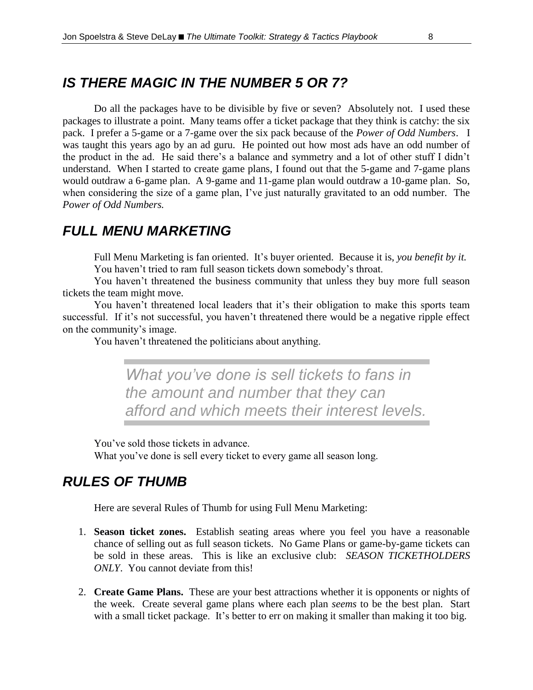## *IS THERE MAGIC IN THE NUMBER 5 OR 7?*

Do all the packages have to be divisible by five or seven? Absolutely not. I used these packages to illustrate a point. Many teams offer a ticket package that they think is catchy: the six pack. I prefer a 5-game or a 7-game over the six pack because of the *Power of Odd Numbers*. I was taught this years ago by an ad guru. He pointed out how most ads have an odd number of the product in the ad. He said there's a balance and symmetry and a lot of other stuff I didn't understand. When I started to create game plans, I found out that the 5-game and 7-game plans would outdraw a 6-game plan. A 9-game and 11-game plan would outdraw a 10-game plan. So, when considering the size of a game plan, I've just naturally gravitated to an odd number. The *Power of Odd Numbers.*

### *FULL MENU MARKETING*

Full Menu Marketing is fan oriented. It's buyer oriented. Because it is, *you benefit by it.* You haven't tried to ram full season tickets down somebody's throat.

You haven't threatened the business community that unless they buy more full season tickets the team might move.

You haven't threatened local leaders that it's their obligation to make this sports team successful. If it's not successful, you haven't threatened there would be a negative ripple effect on the community's image.

You haven't threatened the politicians about anything.

*What you've done is sell tickets to fans in the amount and number that they can afford and which meets their interest levels.*

You've sold those tickets in advance.

What you've done is sell every ticket to every game all season long.

### *RULES OF THUMB*

Here are several Rules of Thumb for using Full Menu Marketing:

- 1. **Season ticket zones.** Establish seating areas where you feel you have a reasonable chance of selling out as full season tickets. No Game Plans or game-by-game tickets can be sold in these areas. This is like an exclusive club: *SEASON TICKETHOLDERS ONLY*. You cannot deviate from this!
- 2. **Create Game Plans.** These are your best attractions whether it is opponents or nights of the week. Create several game plans where each plan *seems* to be the best plan. Start with a small ticket package. It's better to err on making it smaller than making it too big.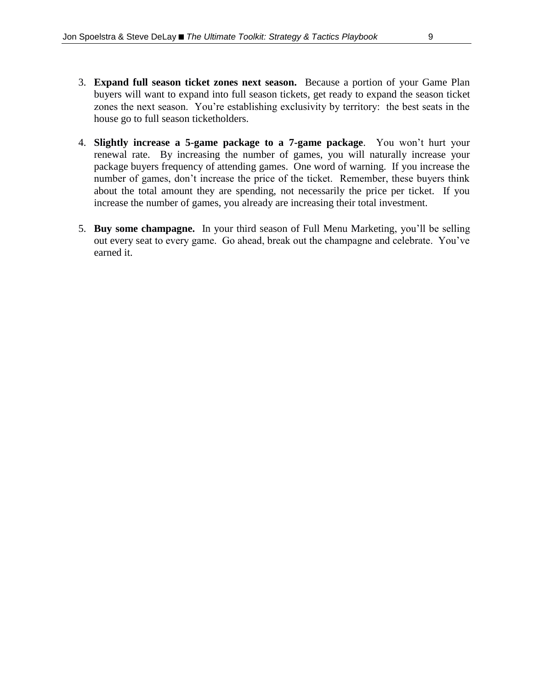- 3. **Expand full season ticket zones next season.** Because a portion of your Game Plan buyers will want to expand into full season tickets, get ready to expand the season ticket zones the next season. You're establishing exclusivity by territory: the best seats in the house go to full season ticketholders.
- 4. **Slightly increase a 5-game package to a 7-game package**. You won't hurt your renewal rate. By increasing the number of games, you will naturally increase your package buyers frequency of attending games. One word of warning. If you increase the number of games, don't increase the price of the ticket. Remember, these buyers think about the total amount they are spending, not necessarily the price per ticket. If you increase the number of games, you already are increasing their total investment.
- 5. **Buy some champagne.** In your third season of Full Menu Marketing, you'll be selling out every seat to every game. Go ahead, break out the champagne and celebrate. You've earned it.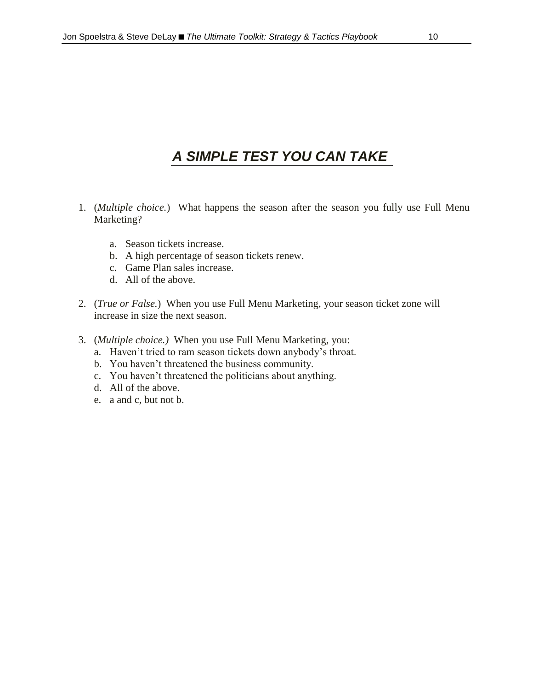# *A SIMPLE TEST YOU CAN TAKE*

- 1. (*Multiple choice.*) What happens the season after the season you fully use Full Menu Marketing?
	- a. Season tickets increase.
	- b. A high percentage of season tickets renew.
	- c. Game Plan sales increase.
	- d. All of the above.
- 2. (*True or False.*) When you use Full Menu Marketing, your season ticket zone will increase in size the next season.
- 3. (*Multiple choice.)* When you use Full Menu Marketing, you:
	- a. Haven't tried to ram season tickets down anybody's throat.
	- b. You haven't threatened the business community.
	- c. You haven't threatened the politicians about anything.
	- d. All of the above.
	- e. a and c, but not b.